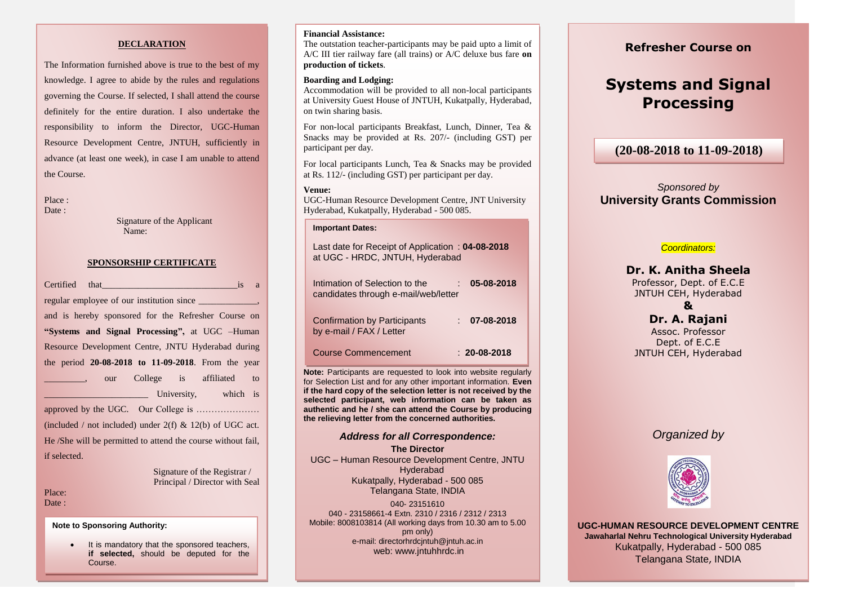### **DECLARATION**

definitely for the entire duration. I also undertake the The Information furnished above is true to the best of my knowledge. I agree to abide by the rules and regulations governing the Course. If selected, I shall attend the course responsibility to inform the Director, UGC-Human Resource Development Centre, JNTUH, sufficiently in advance (at least one week), in case I am unable to attend the Course.

Place :

Date :

Signature of the Applicant Name:

#### **SPONSORSHIP CERTIFICATE**

| <b>Certified</b> that the control of the control of the control of the control of the control of the control of the control of the control of the control of the control of the control of the control of the control of the contro<br>$\overline{1}S$<br>a |  |  |  |  |
|-------------------------------------------------------------------------------------------------------------------------------------------------------------------------------------------------------------------------------------------------------------|--|--|--|--|
|                                                                                                                                                                                                                                                             |  |  |  |  |
| and is hereby sponsored for the Refresher Course on                                                                                                                                                                                                         |  |  |  |  |
| "Systems and Signal Processing", at UGC -Human                                                                                                                                                                                                              |  |  |  |  |
| Resource Development Centre, JNTU Hyderabad during                                                                                                                                                                                                          |  |  |  |  |
| the period $20-08-2018$ to 11-09-2018. From the year                                                                                                                                                                                                        |  |  |  |  |
| our College is affiliated<br>to                                                                                                                                                                                                                             |  |  |  |  |
| University, which is<br>1 1 1 1 1 1 1 1 1 1 1 1 1                                                                                                                                                                                                           |  |  |  |  |
|                                                                                                                                                                                                                                                             |  |  |  |  |
| (included / not included) under $2(f)$ & $12(b)$ of UGC act.                                                                                                                                                                                                |  |  |  |  |
| He /She will be permitted to attend the course without fail,                                                                                                                                                                                                |  |  |  |  |
| if selected.                                                                                                                                                                                                                                                |  |  |  |  |
| Signature of the Registrar /                                                                                                                                                                                                                                |  |  |  |  |
| Principal / Director with Seal                                                                                                                                                                                                                              |  |  |  |  |

Place: Date:

**Note to Sponsoring Authority:**

• It is mandatory that the sponsored teachers, **if selected,** should be deputed for the Course.

### **Financial Assistance:**

The outstation teacher-participants may be paid upto a limit of A/C III tier railway fare (all trains) or A/C deluxe bus fare **on production of tickets**.

### **Boarding and Lodging:**

Accommodation will be provided to all non-local participants at University Guest House of JNTUH, Kukatpally, Hyderabad, on twin sharing basis.

For non-local participants Breakfast, Lunch, Dinner, Tea & Snacks may be provided at Rs. 207/- (including GST) per participant per day.

For local participants Lunch, Tea & Snacks may be provided at Rs. 112/- (including GST) per participant per day.

#### **Venue:**

UGC-Human Resource Development Centre, JNT University Hyderabad, Kukatpally, Hyderabad - 500 085.

#### **Important Dates:**

| Last date for Receipt of Application: 04-08-2018<br>at UGC - HRDC, JNTUH, Hyderabad |                    |
|-------------------------------------------------------------------------------------|--------------------|
| Intimation of Selection to the<br>candidates through e-mail/web/letter              | 05-08-2018         |
| <b>Confirmation by Participants</b><br>by e-mail / FAX / Letter                     | 07-08-2018         |
| <b>Course Commencement</b>                                                          | $: 20 - 08 - 2018$ |

**Note:** Participants are requested to look into website regularly for Selection List and for any other important information. **Even if the hard copy of the selection letter is not received by the selected participant, web information can be taken as authentic and he / she can attend the Course by producing the relieving letter from the concerned authorities.**

## *Address for all Correspondence:*

**The Director** UGC – Human Resource Development Centre, JNTU Hyderabad Kukatpally, Hyderabad - 500 085 Telangana State, INDIA

040- 23151610 040 - 23158661-4 Extn. 2310 / 2316 / 2312 / 2313 Mobile: 8008103814 (All working days from 10.30 am to 5.00 pm only) e-mail: directorhrdcjntuh@jntuh.ac.in web: www.jntuhhrdc.in

### **Refresher Course on**

# **Systems and Signal Processing**

**(20-08-2018 to 11-09-2018)**

### *Sponsored by*  **University Grants Commission**

### *Coordinators:*

### **Dr. K. Anitha Sheela**

Professor, Dept. of E.C.E JNTUH CEH, Hyderabad

### **&**

**Dr. A. Rajani** Assoc. Professor Dept. of E.C.E JNTUH CEH, Hyderabad

### *Organized by*



**UGC-HUMAN RESOURCE DEVELOPMENT CENTRE Jawaharlal Nehru Technological University Hyderabad** Kukatpally, Hyderabad - 500 085 Telangana State, INDIA